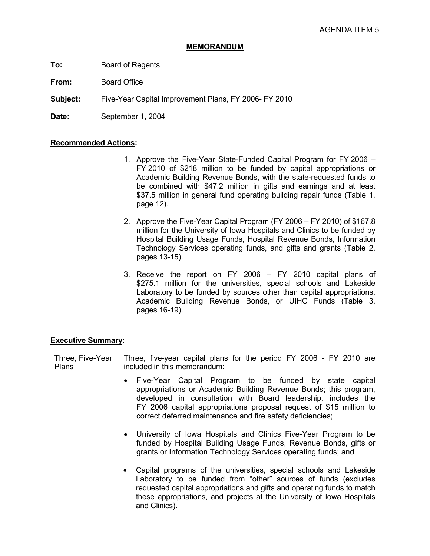## **MEMORANDUM**

**To:** Board of Regents

**From:** Board Office

**Subject:** Five-Year Capital Improvement Plans, FY 2006- FY 2010

Date: September 1, 2004

## **Recommended Actions:**

- 1. Approve the Five-Year State-Funded Capital Program for FY 2006 FY 2010 of \$218 million to be funded by capital appropriations or Academic Building Revenue Bonds, with the state-requested funds to be combined with \$47.2 million in gifts and earnings and at least \$37.5 million in general fund operating building repair funds (Table 1, page 12).
- 2. Approve the Five-Year Capital Program (FY 2006 FY 2010) of \$167.8 million for the University of Iowa Hospitals and Clinics to be funded by Hospital Building Usage Funds, Hospital Revenue Bonds, Information Technology Services operating funds, and gifts and grants (Table 2, pages 13-15).
- 3. Receive the report on FY 2006 FY 2010 capital plans of \$275.1 million for the universities, special schools and Lakeside Laboratory to be funded by sources other than capital appropriations, Academic Building Revenue Bonds, or UIHC Funds (Table 3, pages 16-19).

## **Executive Summary:**

Three, Five-Year Plans Three, five-year capital plans for the period FY 2006 - FY 2010 are included in this memorandum:

- Five-Year Capital Program to be funded by state capital appropriations or Academic Building Revenue Bonds; this program, developed in consultation with Board leadership, includes the FY 2006 capital appropriations proposal request of \$15 million to correct deferred maintenance and fire safety deficiencies;
- University of Iowa Hospitals and Clinics Five-Year Program to be funded by Hospital Building Usage Funds, Revenue Bonds, gifts or grants or Information Technology Services operating funds; and
- Capital programs of the universities, special schools and Lakeside Laboratory to be funded from "other" sources of funds (excludes requested capital appropriations and gifts and operating funds to match these appropriations, and projects at the University of Iowa Hospitals and Clinics).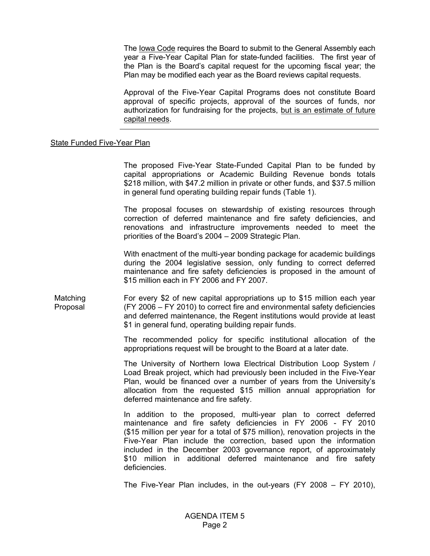The Iowa Code requires the Board to submit to the General Assembly each year a Five-Year Capital Plan for state-funded facilities. The first year of the Plan is the Board's capital request for the upcoming fiscal year; the Plan may be modified each year as the Board reviews capital requests.

 Approval of the Five-Year Capital Programs does not constitute Board approval of specific projects, approval of the sources of funds, nor authorization for fundraising for the projects, but is an estimate of future capital needs.

## State Funded Five-Year Plan

 The proposed Five-Year State-Funded Capital Plan to be funded by capital appropriations or Academic Building Revenue bonds totals \$218 million, with \$47.2 million in private or other funds, and \$37.5 million in general fund operating building repair funds (Table 1).

 The proposal focuses on stewardship of existing resources through correction of deferred maintenance and fire safety deficiencies, and renovations and infrastructure improvements needed to meet the priorities of the Board's 2004 – 2009 Strategic Plan.

 With enactment of the multi-year bonding package for academic buildings during the 2004 legislative session, only funding to correct deferred maintenance and fire safety deficiencies is proposed in the amount of \$15 million each in FY 2006 and FY 2007.

Matching Proposal For every \$2 of new capital appropriations up to \$15 million each year (FY 2006 – FY 2010) to correct fire and environmental safety deficiencies and deferred maintenance, the Regent institutions would provide at least \$1 in general fund, operating building repair funds.

> The recommended policy for specific institutional allocation of the appropriations request will be brought to the Board at a later date.

> The University of Northern Iowa Electrical Distribution Loop System / Load Break project, which had previously been included in the Five-Year Plan, would be financed over a number of years from the University's allocation from the requested \$15 million annual appropriation for deferred maintenance and fire safety.

> In addition to the proposed, multi-year plan to correct deferred maintenance and fire safety deficiencies in FY 2006 - FY 2010 (\$15 million per year for a total of \$75 million), renovation projects in the Five-Year Plan include the correction, based upon the information included in the December 2003 governance report, of approximately \$10 million in additional deferred maintenance and fire safety deficiencies.

> The Five-Year Plan includes, in the out-years (FY 2008 – FY 2010),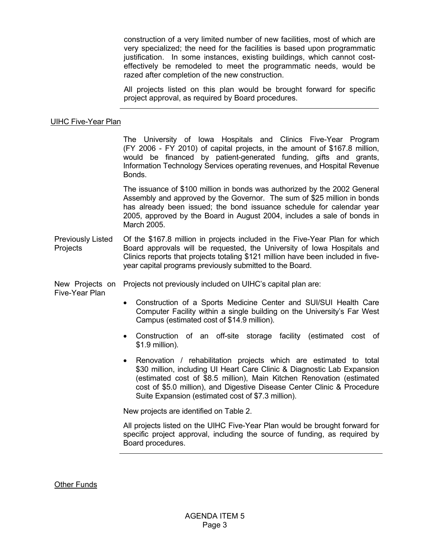construction of a very limited number of new facilities, most of which are very specialized; the need for the facilities is based upon programmatic justification. In some instances, existing buildings, which cannot costeffectively be remodeled to meet the programmatic needs, would be razed after completion of the new construction.

 All projects listed on this plan would be brought forward for specific project approval, as required by Board procedures.

## UIHC Five-Year Plan

The University of Iowa Hospitals and Clinics Five-Year Program (FY 2006 - FY 2010) of capital projects, in the amount of \$167.8 million, would be financed by patient-generated funding, gifts and grants, Information Technology Services operating revenues, and Hospital Revenue Bonds.

The issuance of \$100 million in bonds was authorized by the 2002 General Assembly and approved by the Governor. The sum of \$25 million in bonds has already been issued; the bond issuance schedule for calendar year 2005, approved by the Board in August 2004, includes a sale of bonds in March 2005.

Previously Listed **Projects** Of the \$167.8 million in projects included in the Five-Year Plan for which Board approvals will be requested, the University of Iowa Hospitals and Clinics reports that projects totaling \$121 million have been included in fiveyear capital programs previously submitted to the Board.

New Projects on Projects not previously included on UIHC's capital plan are:

Five-Year Plan

- Construction of a Sports Medicine Center and SUI/SUI Health Care Computer Facility within a single building on the University's Far West Campus (estimated cost of \$14.9 million).
- Construction of an off-site storage facility (estimated cost of \$1.9 million).
- Renovation / rehabilitation projects which are estimated to total \$30 million, including UI Heart Care Clinic & Diagnostic Lab Expansion (estimated cost of \$8.5 million), Main Kitchen Renovation (estimated cost of \$5.0 million), and Digestive Disease Center Clinic & Procedure Suite Expansion (estimated cost of \$7.3 million).

New projects are identified on Table 2.

All projects listed on the UIHC Five-Year Plan would be brought forward for specific project approval, including the source of funding, as required by Board procedures.

Other Funds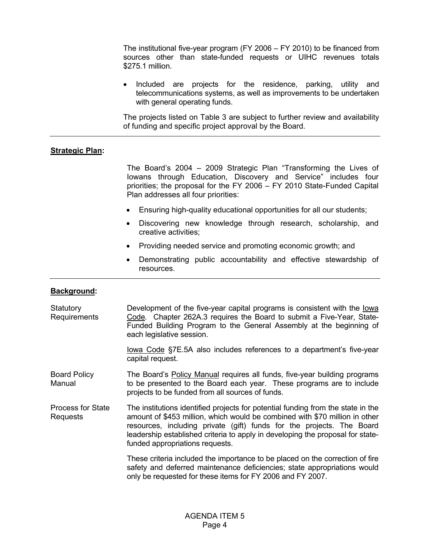The institutional five-year program (FY 2006 – FY 2010) to be financed from sources other than state-funded requests or UIHC revenues totals \$275.1 million.

• Included are projects for the residence, parking, utility and telecommunications systems, as well as improvements to be undertaken with general operating funds.

 The projects listed on Table 3 are subject to further review and availability of funding and specific project approval by the Board.

## **Strategic Plan:**

The Board's 2004 – 2009 Strategic Plan "Transforming the Lives of Iowans through Education, Discovery and Service" includes four priorities; the proposal for the FY 2006 – FY 2010 State-Funded Capital Plan addresses all four priorities:

- Ensuring high-quality educational opportunities for all our students;
- Discovering new knowledge through research, scholarship, and creative activities;
- Providing needed service and promoting economic growth; and
- Demonstrating public accountability and effective stewardship of resources.

## **Background:**

| Statutory<br>Requirements            | Development of the five-year capital programs is consistent with the lowa<br>Code. Chapter 262A.3 requires the Board to submit a Five-Year, State-<br>Funded Building Program to the General Assembly at the beginning of<br>each legislative session.                                                                                                        |
|--------------------------------------|---------------------------------------------------------------------------------------------------------------------------------------------------------------------------------------------------------------------------------------------------------------------------------------------------------------------------------------------------------------|
|                                      | lowa Code §7E.5A also includes references to a department's five-year<br>capital request.                                                                                                                                                                                                                                                                     |
| <b>Board Policy</b><br>Manual        | The Board's Policy Manual requires all funds, five-year building programs<br>to be presented to the Board each year. These programs are to include<br>projects to be funded from all sources of funds.                                                                                                                                                        |
| <b>Process for State</b><br>Requests | The institutions identified projects for potential funding from the state in the<br>amount of \$453 million, which would be combined with \$70 million in other<br>resources, including private (gift) funds for the projects. The Board<br>leadership established criteria to apply in developing the proposal for state-<br>funded appropriations requests. |
|                                      | These criteria included the importance to be placed on the correction of fire<br>safety and deferred maintenance deficiencies; state appropriations would<br>only be requested for these items for FY 2006 and FY 2007.                                                                                                                                       |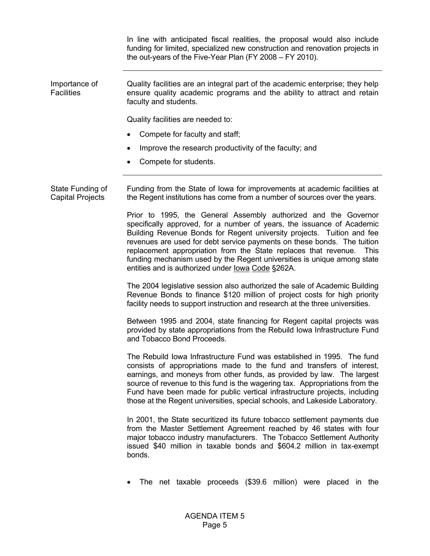In line with anticipated fiscal realities, the proposal would also include funding for limited, specialized new construction and renovation projects in the out-years of the Five-Year Plan (FY 2008 – FY 2010).

Importance of **Facilities** Quality facilities are an integral part of the academic enterprise; they help ensure quality academic programs and the ability to attract and retain faculty and students.

Quality facilities are needed to:

- Compete for faculty and staff;
- Improve the research productivity of the faculty; and
- Compete for students.

State Funding of Capital Projects Funding from the State of Iowa for improvements at academic facilities at the Regent institutions has come from a number of sources over the years.

> Prior to 1995, the General Assembly authorized and the Governor specifically approved, for a number of years, the issuance of Academic Building Revenue Bonds for Regent university projects. Tuition and fee revenues are used for debt service payments on these bonds. The tuition replacement appropriation from the State replaces that revenue. This funding mechanism used by the Regent universities is unique among state entities and is authorized under Iowa Code §262A.

> The 2004 legislative session also authorized the sale of Academic Building Revenue Bonds to finance \$120 million of project costs for high priority facility needs to support instruction and research at the three universities.

> Between 1995 and 2004, state financing for Regent capital projects was provided by state appropriations from the Rebuild Iowa Infrastructure Fund and Tobacco Bond Proceeds.

> The Rebuild Iowa Infrastructure Fund was established in 1995. The fund consists of appropriations made to the fund and transfers of interest, earnings, and moneys from other funds, as provided by law. The largest source of revenue to this fund is the wagering tax. Appropriations from the Fund have been made for public vertical infrastructure projects, including those at the Regent universities, special schools, and Lakeside Laboratory.

> In 2001, the State securitized its future tobacco settlement payments due from the Master Settlement Agreement reached by 46 states with four major tobacco industry manufacturers. The Tobacco Settlement Authority issued \$40 million in taxable bonds and \$604.2 million in tax-exempt bonds.

> • The net taxable proceeds (\$39.6 million) were placed in the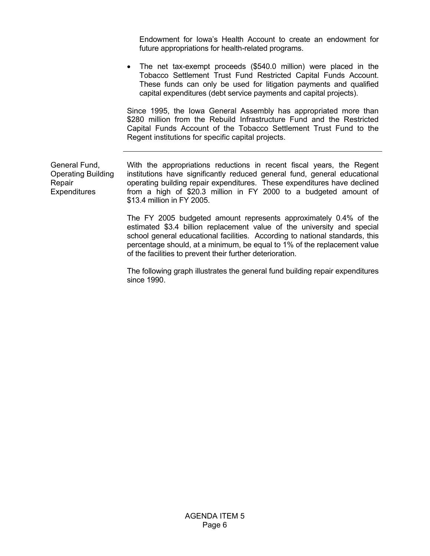Endowment for Iowa's Health Account to create an endowment for future appropriations for health-related programs.

• The net tax-exempt proceeds (\$540.0 million) were placed in the Tobacco Settlement Trust Fund Restricted Capital Funds Account. These funds can only be used for litigation payments and qualified capital expenditures (debt service payments and capital projects).

 Since 1995, the Iowa General Assembly has appropriated more than \$280 million from the Rebuild Infrastructure Fund and the Restricted Capital Funds Account of the Tobacco Settlement Trust Fund to the Regent institutions for specific capital projects.

General Fund, Operating Building Repair **Expenditures** 

With the appropriations reductions in recent fiscal years, the Regent institutions have significantly reduced general fund, general educational operating building repair expenditures. These expenditures have declined from a high of \$20.3 million in FY 2000 to a budgeted amount of \$13.4 million in FY 2005.

 The FY 2005 budgeted amount represents approximately 0.4% of the estimated \$3.4 billion replacement value of the university and special school general educational facilities. According to national standards, this percentage should, at a minimum, be equal to 1% of the replacement value of the facilities to prevent their further deterioration.

 The following graph illustrates the general fund building repair expenditures since 1990.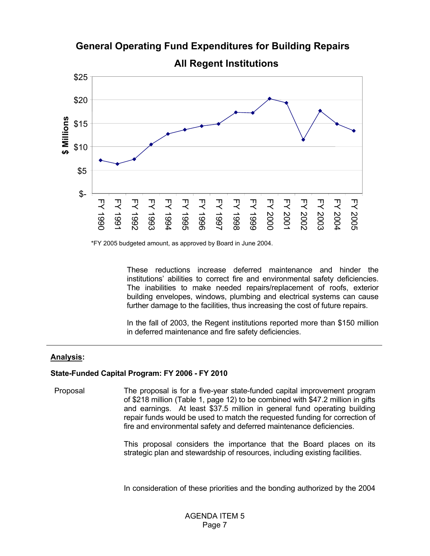

**General Operating Fund Expenditures for Building Repairs** 

**All Regent Institutions** 

\*FY 2005 budgeted amount, as approved by Board in June 2004.

 These reductions increase deferred maintenance and hinder the institutions' abilities to correct fire and environmental safety deficiencies. The inabilities to make needed repairs/replacement of roofs, exterior building envelopes, windows, plumbing and electrical systems can cause further damage to the facilities, thus increasing the cost of future repairs.

 In the fall of 2003, the Regent institutions reported more than \$150 million in deferred maintenance and fire safety deficiencies.

## **Analysis:**

# **State-Funded Capital Program: FY 2006 - FY 2010**

Proposal The proposal is for a five-year state-funded capital improvement program of \$218 million (Table 1, page 12) to be combined with \$47.2 million in gifts and earnings. At least \$37.5 million in general fund operating building repair funds would be used to match the requested funding for correction of fire and environmental safety and deferred maintenance deficiencies.

> This proposal considers the importance that the Board places on its strategic plan and stewardship of resources, including existing facilities.

> In consideration of these priorities and the bonding authorized by the 2004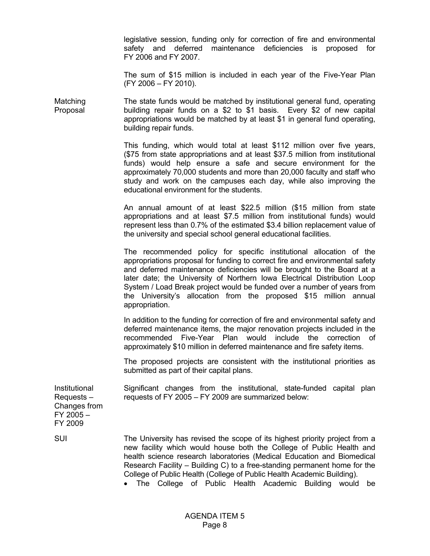legislative session, funding only for correction of fire and environmental safety and deferred maintenance deficiencies is proposed for FY 2006 and FY 2007.

 The sum of \$15 million is included in each year of the Five-Year Plan (FY 2006 – FY 2010).

**Matching** Proposal The state funds would be matched by institutional general fund, operating building repair funds on a \$2 to \$1 basis. Every \$2 of new capital appropriations would be matched by at least \$1 in general fund operating, building repair funds.

> This funding, which would total at least \$112 million over five years, (\$75 from state appropriations and at least \$37.5 million from institutional funds) would help ensure a safe and secure environment for the approximately 70,000 students and more than 20,000 faculty and staff who study and work on the campuses each day, while also improving the educational environment for the students.

> An annual amount of at least \$22.5 million (\$15 million from state appropriations and at least \$7.5 million from institutional funds) would represent less than 0.7% of the estimated \$3.4 billion replacement value of the university and special school general educational facilities.

> The recommended policy for specific institutional allocation of the appropriations proposal for funding to correct fire and environmental safety and deferred maintenance deficiencies will be brought to the Board at a later date; the University of Northern Iowa Electrical Distribution Loop System / Load Break project would be funded over a number of years from the University's allocation from the proposed \$15 million annual appropriation.

> In addition to the funding for correction of fire and environmental safety and deferred maintenance items, the major renovation projects included in the recommended Five-Year Plan would include the correction of approximately \$10 million in deferred maintenance and fire safety items.

> The proposed projects are consistent with the institutional priorities as submitted as part of their capital plans.

Significant changes from the institutional, state-funded capital plan requests of FY 2005 – FY 2009 are summarized below:

Institutional Requests – Changes from FY 2005 – FY 2009

SUI The University has revised the scope of its highest priority project from a new facility which would house both the College of Public Health and health science research laboratories (Medical Education and Biomedical Research Facility – Building C) to a free-standing permanent home for the College of Public Health (College of Public Health Academic Building).

• The College of Public Health Academic Building would be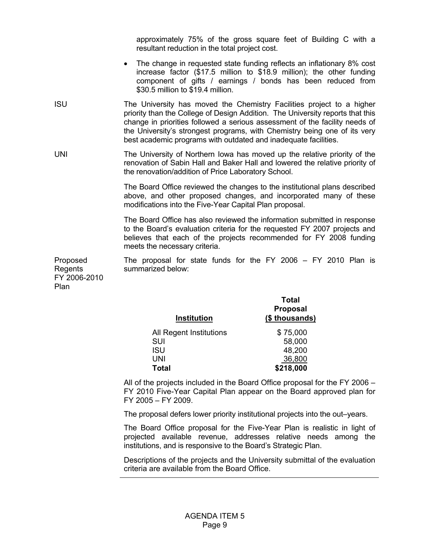approximately 75% of the gross square feet of Building C with a resultant reduction in the total project cost.

- The change in requested state funding reflects an inflationary 8% cost increase factor (\$17.5 million to \$18.9 million); the other funding component of gifts / earnings / bonds has been reduced from \$30.5 million to \$19.4 million.
- ISU The University has moved the Chemistry Facilities project to a higher priority than the College of Design Addition. The University reports that this change in priorities followed a serious assessment of the facility needs of the University's strongest programs, with Chemistry being one of its very best academic programs with outdated and inadequate facilities.
- UNI The University of Northern Iowa has moved up the relative priority of the renovation of Sabin Hall and Baker Hall and lowered the relative priority of the renovation/addition of Price Laboratory School.

 The Board Office reviewed the changes to the institutional plans described above, and other proposed changes, and incorporated many of these modifications into the Five-Year Capital Plan proposal.

 The Board Office has also reviewed the information submitted in response to the Board's evaluation criteria for the requested FY 2007 projects and believes that each of the projects recommended for FY 2008 funding meets the necessary criteria.

Proposed Regents The proposal for state funds for the FY 2006 – FY 2010 Plan is summarized below:

FY 2006-2010 Plan

| <b>Institution</b>      | <b>Total</b><br><b>Proposal</b><br>(\$ thousands) |
|-------------------------|---------------------------------------------------|
|                         |                                                   |
| All Regent Institutions | \$75,000                                          |
| <b>SUI</b>              | 58,000                                            |
| <b>ISU</b>              | 48,200                                            |
| UNI                     | 36,800                                            |
| <b>Total</b>            | \$218,000                                         |

 All of the projects included in the Board Office proposal for the FY 2006 – FY 2010 Five-Year Capital Plan appear on the Board approved plan for FY 2005 – FY 2009.

The proposal defers lower priority institutional projects into the out–years.

 The Board Office proposal for the Five-Year Plan is realistic in light of projected available revenue, addresses relative needs among the institutions, and is responsive to the Board's Strategic Plan.

 Descriptions of the projects and the University submittal of the evaluation criteria are available from the Board Office.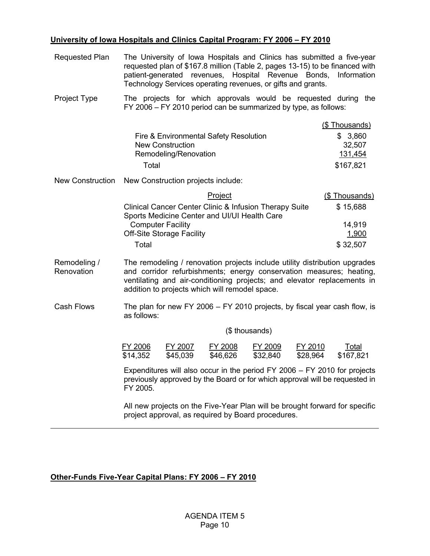# **University of Iowa Hospitals and Clinics Capital Program: FY 2006 – FY 2010**

| <b>Requested Plan</b>      | The University of Iowa Hospitals and Clinics has submitted a five-year<br>requested plan of \$167.8 million (Table 2, pages 13-15) to be financed with<br>patient-generated revenues, Hospital Revenue Bonds, Information<br>Technology Services operating revenues, or gifts and grants. |                              |  |  |  |  |  |  |  |  |  |  |
|----------------------------|-------------------------------------------------------------------------------------------------------------------------------------------------------------------------------------------------------------------------------------------------------------------------------------------|------------------------------|--|--|--|--|--|--|--|--|--|--|
| Project Type               | The projects for which approvals would be requested during<br>FY 2006 - FY 2010 period can be summarized by type, as follows:                                                                                                                                                             | the                          |  |  |  |  |  |  |  |  |  |  |
|                            |                                                                                                                                                                                                                                                                                           | (\$ Thousands)               |  |  |  |  |  |  |  |  |  |  |
|                            | Fire & Environmental Safety Resolution<br><b>New Construction</b><br>Remodeling/Renovation                                                                                                                                                                                                | \$3,860<br>32,507<br>131,454 |  |  |  |  |  |  |  |  |  |  |
|                            | Total                                                                                                                                                                                                                                                                                     | \$167,821                    |  |  |  |  |  |  |  |  |  |  |
| <b>New Construction</b>    | New Construction projects include:                                                                                                                                                                                                                                                        |                              |  |  |  |  |  |  |  |  |  |  |
|                            | Project                                                                                                                                                                                                                                                                                   | (\$Thousands)                |  |  |  |  |  |  |  |  |  |  |
|                            | Clinical Cancer Center Clinic & Infusion Therapy Suite                                                                                                                                                                                                                                    |                              |  |  |  |  |  |  |  |  |  |  |
|                            | Sports Medicine Center and UI/UI Health Care<br><b>Computer Facility</b>                                                                                                                                                                                                                  | 14,919                       |  |  |  |  |  |  |  |  |  |  |
|                            | <b>Off-Site Storage Facility</b>                                                                                                                                                                                                                                                          | 1,900                        |  |  |  |  |  |  |  |  |  |  |
|                            | Total                                                                                                                                                                                                                                                                                     | \$32,507                     |  |  |  |  |  |  |  |  |  |  |
| Remodeling /<br>Renovation | The remodeling / renovation projects include utility distribution upgrades<br>and corridor refurbishments; energy conservation measures; heating,<br>ventilating and air-conditioning projects; and elevator replacements in<br>addition to projects which will remodel space.            |                              |  |  |  |  |  |  |  |  |  |  |
| <b>Cash Flows</b>          | The plan for new FY 2006 - FY 2010 projects, by fiscal year cash flow, is<br>as follows:                                                                                                                                                                                                  |                              |  |  |  |  |  |  |  |  |  |  |
|                            | (\$ thousands)                                                                                                                                                                                                                                                                            |                              |  |  |  |  |  |  |  |  |  |  |
|                            | FY 2008<br>FY 2006<br>FY 2007<br>FY 2009<br>FY 2010<br>\$14,352<br>\$45,039<br>\$46,626<br>\$32,840<br>\$28,964                                                                                                                                                                           | Total<br>\$167,821           |  |  |  |  |  |  |  |  |  |  |
|                            | Expenditures will also occur in the period FY 2006 - FY 2010 for projects<br>previously approved by the Board or for which approval will be requested in<br>FY 2005.                                                                                                                      |                              |  |  |  |  |  |  |  |  |  |  |
|                            | All new projects on the Five-Year Plan will be brought forward for specific<br>project approval, as required by Board procedures.                                                                                                                                                         |                              |  |  |  |  |  |  |  |  |  |  |

# **Other-Funds Five-Year Capital Plans: FY 2006 – FY 2010**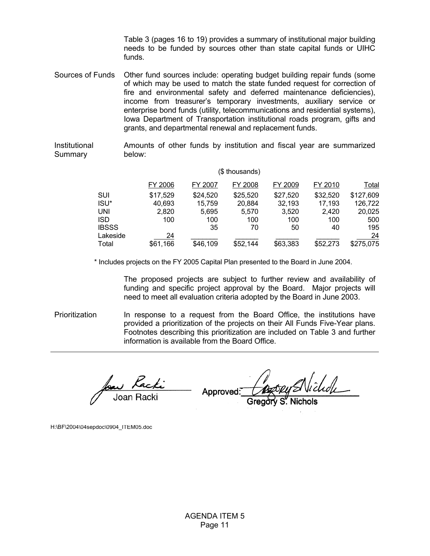Table 3 (pages 16 to 19) provides a summary of institutional major building needs to be funded by sources other than state capital funds or UIHC funds.

Sources of Funds Other fund sources include: operating budget building repair funds (some of which may be used to match the state funded request for correction of fire and environmental safety and deferred maintenance deficiencies), income from treasurer's temporary investments, auxiliary service or enterprise bond funds (utility, telecommunications and residential systems), Iowa Department of Transportation institutional roads program, gifts and grants, and departmental renewal and replacement funds.

Institutional Summary Amounts of other funds by institution and fiscal year are summarized below:

|              |          |          | (\$ thousands) |          |          |              |
|--------------|----------|----------|----------------|----------|----------|--------------|
|              | FY 2006  | FY 2007  | FY 2008        | FY 2009  | FY 2010  | <u>Total</u> |
| SUI          | \$17,529 | \$24,520 | \$25,520       | \$27,520 | \$32,520 | \$127,609    |
| ISU*         | 40,693   | 15,759   | 20,884         | 32,193   | 17,193   | 126,722      |
| UNI          | 2,820    | 5,695    | 5,570          | 3,520    | 2,420    | 20,025       |
| <b>ISD</b>   | 100      | 100      | 100            | 100      | 100      | 500          |
| <b>IBSSS</b> |          | 35       | 70             | 50       | 40       | 195          |
| Lakeside     | 24       |          |                |          |          | 24           |
| Total        | \$61,166 | \$46,109 | \$52,144       | \$63,383 | \$52,273 | \$275,075    |

\* Includes projects on the FY 2005 Capital Plan presented to the Board in June 2004.

The proposed projects are subject to further review and availability of funding and specific project approval by the Board. Major projects will need to meet all evaluation criteria adopted by the Board in June 2003.

Prioritization **In response to a request from the Board Office**, the institutions have provided a prioritization of the projects on their All Funds Five-Year plans. Footnotes describing this prioritization are included on Table 3 and further information is available from the Board Office.

Joan Racki

Approved:

H:\BF\2004\04sepdoc\0904\_ITEM05.doc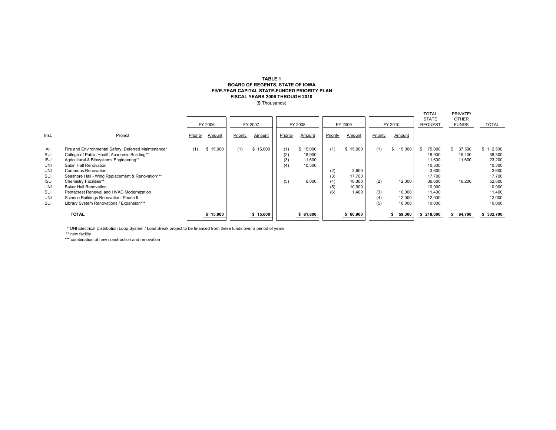### **BOARD OF REGENTS, STATE OF IOWA FIVE-YEAR CAPITAL STATE-FUNDED PRIORITY PLAN FISCAL YEARS 2006 THROUGH 2010** (\$ Thousands) **TABLE 1**

|            |                                                      |          |          |          |          |          |          |          |          |          |              | <b>TOTAL</b>   | PRIVATE/     |         |
|------------|------------------------------------------------------|----------|----------|----------|----------|----------|----------|----------|----------|----------|--------------|----------------|--------------|---------|
|            |                                                      |          |          |          |          |          |          |          |          |          |              | <b>STATE</b>   | <b>OTHER</b> |         |
|            |                                                      |          | FY 2006  |          | FY 2007  |          | FY 2008  |          | FY 2009  |          | FY 2010      | <b>REQUEST</b> | <b>FUNDS</b> | TOTAL   |
| Inst.      | Project                                              | Priority | Amount   | Priority | Amount   | Priority | Amount   | Priority | Amount   | Priority | Amount       |                |              |         |
|            |                                                      |          |          |          |          |          |          |          |          |          |              |                |              |         |
| All        | Fire and Environmental Safety, Deferred Maintenance* | (1)      | \$15,000 | (1)      | \$15,000 | (1)      | \$15,000 | (1)      | \$15,000 | (1)      | 15,000<br>\$ | 75,000         | 37,500       | 112,500 |
| SUI        | College of Public Health Academic Building**         |          |          |          |          | (2)      | 18,900   |          |          |          |              | 18,900         | 19,400       | 38,300  |
| <b>ISU</b> | Agricultural & Biosystems Engineering**              |          |          |          |          | (3)      | 11,600   |          |          |          |              | 11.600         | 11,600       | 23,200  |
| <b>UNI</b> | Sabin Hall Renovation                                |          |          |          |          | (4)      | 10,300   |          |          |          |              | 10,300         |              | 10,300  |
| <b>UNI</b> | <b>Commons Renovation</b>                            |          |          |          |          |          |          | (2)      | 3.600    |          |              | 3.600          |              | 3,600   |
| SUI        | Seashore Hall - Wing Replacement & Renovation***     |          |          |          |          |          |          | (3)      | 17.700   |          |              | 17.700         |              | 17,700  |
| <b>ISU</b> | Chemistry Facilities**                               |          |          |          |          | (5)      | 6,000    | (4)      | 18,300   | (2)      | 12,300       | 36,600         | 16.200       | 52,800  |
| <b>UNI</b> | <b>Baker Hall Renovation</b>                         |          |          |          |          |          |          | (5)      | 10,900   |          |              | 10.900         |              | 10.900  |
| SUI        | Pentacrest Renewal and HVAC Modernization            |          |          |          |          |          |          | (6)      | 1,400    | (3)      | 10,000       | 11.400         |              | 11,400  |
| <b>UNI</b> | Science Buildings Renovation, Phase II               |          |          |          |          |          |          |          |          | (4)      | 12,000       | 12,000         |              | 12,000  |
| SUI        | Library System Renovations / Expansion***            |          |          |          |          |          |          |          |          | (5)      | 10,000       | 10,000         |              | 10,000  |
|            |                                                      |          |          |          |          |          |          |          |          |          |              |                |              |         |
|            | <b>TOTAL</b>                                         |          | 15,000   |          | 15,000   |          | 61,800   |          | 66,900   |          | 59,300       | 218,000        | 84,700       | 302,700 |
|            |                                                      |          |          |          |          |          |          |          |          |          |              |                |              |         |

\* UNI Electrical Distribution Loop System / Load Break project to be financed from these funds over a period of years

\*\* new facility

\*\*\* combination of new construction and renovation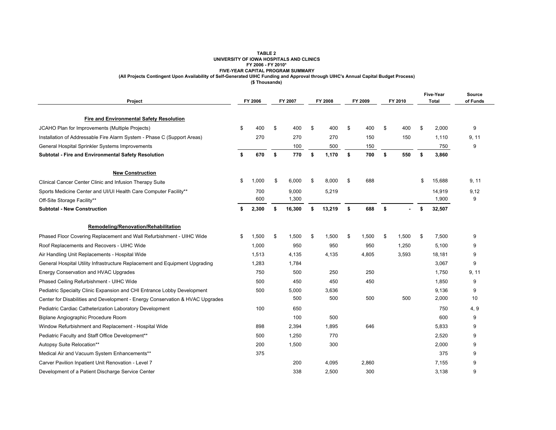### **TABLE 2 UNIVERSITY OF IOWA HOSPITALS AND CLINICS FY 2006 - FY 2010\* FIVE-YEAR CAPITAL PROGRAM SUMMARY (All Projects Contingent Upon Availability of Self-Generated UIHC Funding and Approval through UIHC's Annual Capital Budget Process)**

**(\$ Thousands)**

| Project                                                                       | FY 2006 |       | FY 2007 |        | FY 2008      | FY 2009     |    | FY 2010 | Five-Year<br><b>Total</b> |        | Source<br>of Funds |  |
|-------------------------------------------------------------------------------|---------|-------|---------|--------|--------------|-------------|----|---------|---------------------------|--------|--------------------|--|
| <b>Fire and Environmental Safety Resolution</b>                               |         |       |         |        |              |             |    |         |                           |        |                    |  |
| JCAHO Plan for Improvements (Multiple Projects)                               | \$      | 400   | \$      | 400    | \$<br>400    | \$<br>400   | \$ | 400     | \$                        | 2,000  | 9                  |  |
| Installation of Addressable Fire Alarm System - Phase C (Support Areas)       |         | 270   |         | 270    | 270          | 150         |    | 150     |                           | 1,110  | 9, 11              |  |
| General Hospital Sprinkler Systems Improvements                               |         |       |         | 100    | 500          | 150         |    |         |                           | 750    | 9                  |  |
| Subtotal - Fire and Environmental Safety Resolution                           | \$      | 670   | \$      | 770    | \$<br>1,170  | \$<br>700   | \$ | 550     | \$                        | 3,860  |                    |  |
| <b>New Construction</b>                                                       |         |       |         |        |              |             |    |         |                           |        |                    |  |
| Clinical Cancer Center Clinic and Infusion Therapy Suite                      | \$      | 1,000 | \$      | 6,000  | \$<br>8,000  | \$<br>688   |    |         | \$                        | 15,688 | 9, 11              |  |
| Sports Medicine Center and UI/UI Health Care Computer Facility**              |         | 700   |         | 9,000  | 5,219        |             |    |         |                           | 14,919 | 9,12               |  |
| Off-Site Storage Facility**                                                   |         | 600   |         | 1,300  |              |             |    |         |                           | 1,900  | 9                  |  |
| <b>Subtotal - New Construction</b>                                            | \$      | 2,300 | \$      | 16,300 | \$<br>13,219 | \$<br>688   | \$ |         | \$                        | 32,507 |                    |  |
| Remodeling/Renovation/Rehabilitation                                          |         |       |         |        |              |             |    |         |                           |        |                    |  |
| Phased Floor Covering Replacement and Wall Refurbishment - UIHC Wide          | \$      | 1,500 | \$      | 1,500  | \$<br>1,500  | \$<br>1,500 | \$ | 1,500   | \$                        | 7,500  | 9                  |  |
| Roof Replacements and Recovers - UIHC Wide                                    |         | 1,000 |         | 950    | 950          | 950         |    | 1,250   |                           | 5,100  | 9                  |  |
| Air Handling Unit Replacements - Hospital Wide                                |         | 1,513 |         | 4,135  | 4,135        | 4,805       |    | 3,593   |                           | 18,181 | 9                  |  |
| General Hospital Utility Infrastructure Replacement and Equipment Upgrading   |         | 1,283 |         | 1,784  |              |             |    |         |                           | 3,067  | 9                  |  |
| Energy Conservation and HVAC Upgrades                                         |         | 750   |         | 500    | 250          | 250         |    |         |                           | 1,750  | 9, 11              |  |
| Phased Ceiling Refurbishment - UIHC Wide                                      |         | 500   |         | 450    | 450          | 450         |    |         |                           | 1,850  | 9                  |  |
| Pediatric Specialty Clinic Expansion and CHI Entrance Lobby Development       |         | 500   |         | 5,000  | 3,636        |             |    |         |                           | 9,136  | 9                  |  |
| Center for Disabilities and Development - Energy Conservation & HVAC Upgrades |         |       |         | 500    | 500          | 500         |    | 500     |                           | 2,000  | 10                 |  |
| Pediatric Cardiac Catheterization Laboratory Development                      |         | 100   |         | 650    |              |             |    |         |                           | 750    | 4, 9               |  |
| Biplane Angiographic Procedure Room                                           |         |       |         | 100    | 500          |             |    |         |                           | 600    | 9                  |  |
| Window Refurbishment and Replacement - Hospital Wide                          |         | 898   |         | 2,394  | 1,895        | 646         |    |         |                           | 5,833  | 9                  |  |
| Pediatric Faculty and Staff Office Development**                              |         | 500   |         | 1,250  | 770          |             |    |         |                           | 2,520  | 9                  |  |
| Autopsy Suite Relocation**                                                    |         | 200   |         | 1,500  | 300          |             |    |         |                           | 2,000  | 9                  |  |
| Medical Air and Vacuum System Enhancements**                                  |         | 375   |         |        |              |             |    |         |                           | 375    | 9                  |  |
| Carver Pavilion Inpatient Unit Renovation - Level 7                           |         |       |         | 200    | 4,095        | 2,860       |    |         |                           | 7,155  | 9                  |  |
| Development of a Patient Discharge Service Center                             |         |       |         | 338    | 2,500        | 300         |    |         |                           | 3,138  | 9                  |  |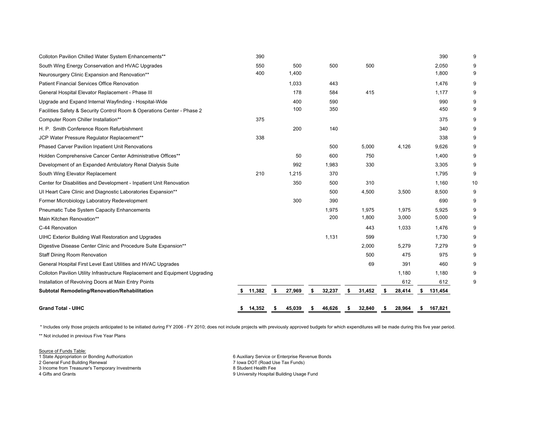| Colloton Pavilion Chilled Water System Enhancements**                        | 390       |              |    |        |              |    |        | 390           | 9  |
|------------------------------------------------------------------------------|-----------|--------------|----|--------|--------------|----|--------|---------------|----|
| South Wing Energy Conservation and HVAC Upgrades                             | 550       | 500          |    | 500    | 500          |    |        | 2,050         | 9  |
| Neurosurgery Clinic Expansion and Renovation**                               | 400       | 1,400        |    |        |              |    |        | 1,800         | 9  |
| <b>Patient Financial Services Office Renovation</b>                          |           | 1,033        |    | 443    |              |    |        | 1,476         | 9  |
| General Hospital Elevator Replacement - Phase III                            |           | 178          |    | 584    | 415          |    |        | 1,177         | 9  |
| Upgrade and Expand Internal Wayfinding - Hospital-Wide                       |           | 400          |    | 590    |              |    |        | 990           | 9  |
| Facilities Safety & Security Control Room & Operations Center - Phase 2      |           | 100          |    | 350    |              |    |        | 450           | 9  |
| Computer Room Chiller Installation**                                         | 375       |              |    |        |              |    |        | 375           | 9  |
| H. P. Smith Conference Room Refurbishment                                    |           | 200          |    | 140    |              |    |        | 340           | 9  |
| JCP Water Pressure Regulator Replacement**                                   | 338       |              |    |        |              |    |        | 338           | 9  |
| Phased Carver Pavilion Inpatient Unit Renovations                            |           |              |    | 500    | 5,000        |    | 4,126  | 9,626         | 9  |
| Holden Comprehensive Cancer Center Administrative Offices**                  |           | 50           |    | 600    | 750          |    |        | 1,400         | 9  |
| Development of an Expanded Ambulatory Renal Dialysis Suite                   |           | 992          |    | 1,983  | 330          |    |        | 3,305         | 9  |
| South Wing Elevator Replacement                                              | 210       | 1,215        |    | 370    |              |    |        | 1,795         | 9  |
| Center for Disabilities and Development - Inpatient Unit Renovation          |           | 350          |    | 500    | 310          |    |        | 1,160         | 10 |
| UI Heart Care Clinic and Diagnostic Laboratories Expansion**                 |           |              |    | 500    | 4,500        |    | 3,500  | 8,500         | 9  |
| Former Microbiology Laboratory Redevelopment                                 |           | 300          |    | 390    |              |    |        | 690           | 9  |
| <b>Pneumatic Tube System Capacity Enhancements</b>                           |           |              |    | 1,975  | 1,975        |    | 1,975  | 5,925         | 9  |
| Main Kitchen Renovation**                                                    |           |              |    | 200    | 1,800        |    | 3,000  | 5,000         | 9  |
| C-44 Renovation                                                              |           |              |    |        | 443          |    | 1,033  | 1,476         | 9  |
| UIHC Exterior Building Wall Restoration and Upgrades                         |           |              |    | 1,131  | 599          |    |        | 1,730         | 9  |
| Digestive Disease Center Clinic and Procedure Suite Expansion**              |           |              |    |        | 2,000        |    | 5,279  | 7,279         | 9  |
| <b>Staff Dining Room Renovation</b>                                          |           |              |    |        | 500          |    | 475    | 975           | 9  |
| General Hospital First Level East Utilities and HVAC Upgrades                |           |              |    |        | 69           |    | 391    | 460           | 9  |
| Colloton Pavilion Utility Infrastructure Replacement and Equipment Upgrading |           |              |    |        |              |    | 1,180  | 1,180         | 9  |
| Installation of Revolving Doors at Main Entry Points                         |           |              |    |        |              |    | 612    | 612           | 9  |
| Subtotal Remodeling/Renovation/Rehabilitation                                | \$ 11,382 | \$<br>27,969 | \$ | 32,237 | \$<br>31,452 | \$ | 28,414 | \$<br>131,454 |    |
| <b>Grand Total - UIHC</b>                                                    | 14,352    | \$<br>45,039 | s  | 46,626 | \$<br>32,840 | S  | 28,964 | \$<br>167,821 |    |

\* Includes only those projects anticipated to be initiated during FY 2006 - FY 2010; does not include projects with previously approved budgets for which expenditures will be made during this five year period.

\*\* Not included in previous Five Year Plans

Source of Funds Table: 1 State Appropriation or Bonding Authorization 6 Auxiliary Service or Enterprise Revenue Bonds 2 General Fund Building Renewal 7 Iowa DOT (Road Use Tax Funds) 3 Income from Treasurer's Temporary Investments 8 Student Health Fee

4 Gifts and Grants 9 University Hospital Building Usage Fund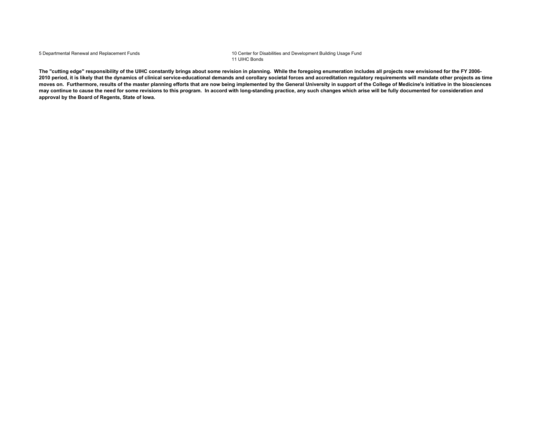5 Departmental Renewal and Replacement Funds 10 Center for Disabilities and Development Building Usage Fund 11 UIHC Bonds

**The "cutting edge" responsibility of the UIHC constantly brings about some revision in planning. While the foregoing enumeration includes all projects now envisioned for the FY 2006-** 2010 period, it is likely that the dynamics of clinical service-educational demands and corollary societal forces and accreditation regulatory requirements will mandate other projects as time **moves on. Furthermore, results of the master planning efforts that are now being implemented by the General University in support of the College of Medicine's initiative in the biosciences may continue to cause the need for some revisions to this program. In accord with long-standing practice, any such changes which arise will be fully documented for consideration and approval by the Board of Regents, State of Iowa.**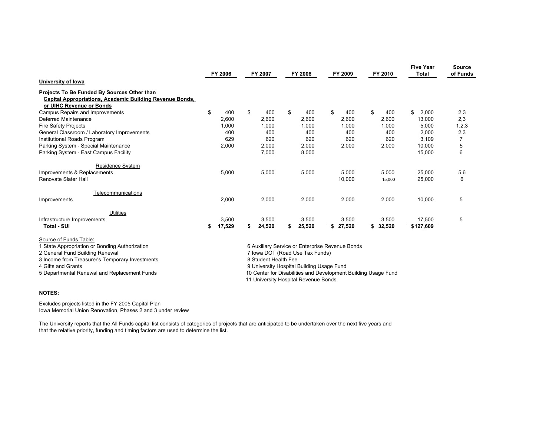|                                                                                                                                                                                      | FY 2006<br>FY 2007 |        | FY 2008<br>FY 2009   |    | FY 2010                                                                                                                         |    | <b>Five Year</b><br><b>Total</b> | Source<br>of Funds |          |             |         |
|--------------------------------------------------------------------------------------------------------------------------------------------------------------------------------------|--------------------|--------|----------------------|----|---------------------------------------------------------------------------------------------------------------------------------|----|----------------------------------|--------------------|----------|-------------|---------|
| University of Iowa                                                                                                                                                                   |                    |        |                      |    |                                                                                                                                 |    |                                  |                    |          |             |         |
| Projects To Be Funded By Sources Other than<br><b>Capital Appropriations, Academic Building Revenue Bonds,</b><br>or UIHC Revenue or Bonds                                           |                    |        |                      |    |                                                                                                                                 |    |                                  |                    |          |             |         |
| Campus Repairs and Improvements                                                                                                                                                      | \$                 | 400    | \$<br>400            | \$ | 400                                                                                                                             | \$ | 400                              | \$                 | 400      | 2,000<br>\$ | 2,3     |
| Deferred Maintenance                                                                                                                                                                 |                    | 2,600  | 2,600                |    | 2,600                                                                                                                           |    | 2,600                            |                    | 2,600    | 13,000      | 2,3     |
| <b>Fire Safety Projects</b>                                                                                                                                                          |                    | 1,000  | 1,000                |    | 1,000                                                                                                                           |    | 1,000                            |                    | 1,000    | 5,000       | 1, 2, 3 |
| General Classroom / Laboratory Improvements                                                                                                                                          |                    | 400    | 400                  |    | 400                                                                                                                             |    | 400                              |                    | 400      | 2,000       | 2,3     |
| Institutional Roads Program                                                                                                                                                          |                    | 629    | 620                  |    | 620                                                                                                                             |    | 620                              |                    | 620      | 3.109       |         |
| Parking System - Special Maintenance                                                                                                                                                 |                    | 2,000  | 2,000                |    | 2,000                                                                                                                           |    | 2,000                            |                    | 2,000    | 10,000      | 5       |
| Parking System - East Campus Facility                                                                                                                                                |                    |        | 7,000                |    | 8,000                                                                                                                           |    |                                  |                    |          | 15,000      | 6       |
| <b>Residence System</b>                                                                                                                                                              |                    |        |                      |    |                                                                                                                                 |    |                                  |                    |          |             |         |
| Improvements & Replacements                                                                                                                                                          |                    | 5,000  | 5,000                |    | 5,000                                                                                                                           |    | 5,000                            |                    | 5,000    | 25,000      | 5,6     |
| Renovate Slater Hall                                                                                                                                                                 |                    |        |                      |    |                                                                                                                                 |    | 10,000                           |                    | 15,000   | 25,000      | 6       |
| Telecommunications                                                                                                                                                                   |                    |        |                      |    |                                                                                                                                 |    |                                  |                    |          |             |         |
| Improvements                                                                                                                                                                         |                    | 2,000  | 2,000                |    | 2.000                                                                                                                           |    | 2,000                            |                    | 2,000    | 10.000      | 5       |
| <b>Utilities</b>                                                                                                                                                                     |                    |        |                      |    |                                                                                                                                 |    |                                  |                    |          |             |         |
| Infrastructure Improvements                                                                                                                                                          |                    | 3,500  | 3,500                |    | 3,500                                                                                                                           |    | 3,500                            |                    | 3,500    | 17,500      | 5       |
| <b>Total - SUI</b>                                                                                                                                                                   | \$                 | 17,529 | \$<br>24,520         | \$ | 25,520                                                                                                                          |    | \$27,520                         |                    | \$32,520 | \$127,609   |         |
| Source of Funds Table:<br>1 State Appropriation or Bonding Authorization<br>2 General Fund Building Renewal<br>3 Income from Treasurer's Temporary Investments<br>4 Gifts and Grants |                    |        | 8 Student Health Fee |    | 6 Auxiliary Service or Enterprise Revenue Bonds<br>7 Iowa DOT (Road Use Tax Funds)<br>9 University Hospital Building Usage Fund |    |                                  |                    |          |             |         |
| 5 Departmental Renewal and Replacement Funds                                                                                                                                         |                    |        |                      |    | 10 Center for Disabilities and Development Building Usage Fund<br>11 University Hospital Revenue Bonds                          |    |                                  |                    |          |             |         |

### **NOTES:**

Excludes projects listed in the FY 2005 Capital Plan Iowa Memorial Union Renovation, Phases 2 and 3 under review

The University reports that the All Funds capital list consists of categories of projects that are anticipated to be undertaken over the next five years and that the relative priority, funding and timing factors are used to determine the list.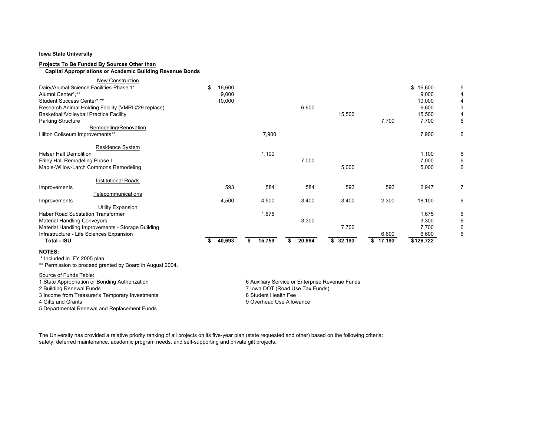### **Iowa State University**

### **Projects To Be Funded By Sources Other than**

## **Capital Appropriations or Academic Building Revenue Bonds**

| <b>New Construction</b>                             |               |              |              |              |          |           |   |
|-----------------------------------------------------|---------------|--------------|--------------|--------------|----------|-----------|---|
| Dairy/Animal Science Facilities-Phase 1*            | 16,600<br>\$. |              |              |              |          | \$16,600  |   |
| Alumni Center*,**                                   | 9,000         |              |              |              |          | 9,000     |   |
| Student Success Center*.**                          | 10,000        |              |              |              |          | 10,000    |   |
| Research Animal Holding Facility (VMRI #29 replace) |               |              | 6,600        |              |          | 6,600     | 3 |
| Basketball/Volleyball Practice Facility             |               |              |              | 15,500       |          | 15,500    |   |
| <b>Parking Structure</b>                            |               |              |              |              | 7,700    | 7,700     | 6 |
| Remodeling/Renovation                               |               |              |              |              |          |           |   |
| Hilton Coliseum Improvements**                      |               | 7,900        |              |              |          | 7,900     | 6 |
|                                                     |               |              |              |              |          |           |   |
| Residence System<br><b>Helser Hall Demolition</b>   |               | 1,100        |              |              |          | 1,100     | 6 |
| Friley Hall Remodeling Phase I                      |               |              | 7,000        |              |          | 7,000     | 6 |
| Maple-Willow-Larch Commons Remodeling               |               |              |              | 5,000        |          | 5,000     | 6 |
| <b>Institutional Roads</b>                          |               |              |              |              |          |           |   |
| Improvements                                        | 593           | 584          | 584          | 593          | 593      | 2,947     | 7 |
| Telecommunications                                  |               |              |              |              |          |           |   |
| Improvements                                        | 4,500         | 4,500        | 3,400        | 3,400        | 2,300    | 18,100    | 6 |
| Utility Expansion                                   |               |              |              |              |          |           |   |
| <b>Haber Road Substation Transformer</b>            |               | 1,675        |              |              |          | 1,675     | 6 |
| <b>Material Handling Conveyors</b>                  |               |              | 3,300        |              |          | 3,300     | 6 |
| Material Handling Improvements - Storage Building   |               |              |              | 7,700        |          | 7,700     | 6 |
| Infrastructure - Life Sciences Expansion            |               |              |              |              | 6,600    | 6,600     | 6 |
| Total - ISU                                         | 40,693<br>\$. | 15,759<br>\$ | 20,884<br>\$ | 32,193<br>s. | \$17,193 | \$126,722 |   |
| <b>NOTES:</b>                                       |               |              |              |              |          |           |   |

\* Included in FY 2005 plan.

\*\* Permission to proceed granted by Board in August 2004.

#### Source of Funds Table:

3 Income from Treasurer's Temporary Investments<br>4 Gifts and Grants

5 Departmental Renewal and Replacement Funds

1 State Appropriation or Bonding Authorization 6 Auxiliary Service or Enterprise Revenue Funds<br>2 Building Renewal Funds<br>2 Building Renewal Funds 7 Iowa DOT (Road Use Tax Funds)<br>8 Student Health Fee 4 Gifts and Grants 9 Overhead Use Allowance

The University has provided a relative priority ranking of all projects on its five-year plan (state requested and other) based on the following criteria: safety, deferred maintenance, academic program needs, and self-supporting and private gift projects.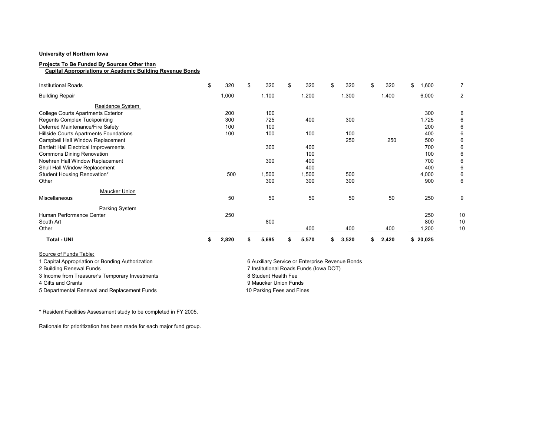### **University of Northern Iowa**

#### **Projects To Be Funded By Sources Other than**

 **Capital Appropriations or Academic Building Revenue Bonds**

| <b>Institutional Roads</b>                   | \$ | 320   | \$<br>320 | \$<br>320 | \$<br>320 | \$<br>320 | \$<br>1,600  |                |
|----------------------------------------------|----|-------|-----------|-----------|-----------|-----------|--------------|----------------|
| <b>Building Repair</b>                       |    | 1,000 | 1,100     | 1,200     | 1,300     | 1,400     | 6,000        | $\overline{2}$ |
| Residence System                             |    |       |           |           |           |           |              |                |
| <b>College Courts Apartments Exterior</b>    |    | 200   | 100       |           |           |           | 300          | 6              |
| <b>Regents Complex Tuckpointing</b>          |    | 300   | 725       | 400       | 300       |           | 1,725        | 6              |
| Deferred Maintenance/Fire Safety             |    | 100   | 100       |           |           |           | 200          | 6              |
| Hillside Courts Apartments Foundations       |    | 100   | 100       | 100       | 100       |           | 400          | 6              |
| Campbell Hall Window Replacement             |    |       |           |           | 250       | 250       | 500          | 6              |
| <b>Bartlett Hall Electrical Improvements</b> |    |       | 300       | 400       |           |           | 700          | 6              |
| <b>Commons Dining Renovation</b>             |    |       |           | 100       |           |           | 100          | 6              |
| Noehren Hall Window Replacement              |    |       | 300       | 400       |           |           | 700          | 6              |
| Shull Hall Window Replacement                |    |       |           | 400       |           |           | 400          | 6              |
| Student Housing Renovation*                  |    | 500   | 1,500     | 1,500     | 500       |           | 4,000        | 6              |
| Other                                        |    |       | 300       | 300       | 300       |           | 900          | 6              |
| Maucker Union                                |    |       |           |           |           |           |              |                |
| Miscellaneous                                |    | 50    | 50        | 50        | 50        | 50        | 250          | 9              |
| Parking System                               |    |       |           |           |           |           |              |                |
| Human Performance Center                     |    | 250   |           |           |           |           | 250          | 10             |
| South Art                                    |    |       | 800       |           |           |           | 800          | 10             |
| Other                                        |    |       |           | 400       | 400       | 400       | 1,200        | 10             |
| <b>Total - UNI</b>                           | Ъ  | 2,820 | 5,695     | 5,570     | 3,520     | 2,420     | \$<br>20,025 |                |

Source of Funds Table:

3 Income from Treasurer's Temporary Investments 8 Student Health Fee

5 Departmental Renewal and Replacement Funds 10 Parking Fees and Fines

1 Capital Appropriation or Bonding Authorization 6 Auxiliary Service or Enterprise Revenue Bonds 2 Building Renewal Funds 7 Institutional Roads Funds (Iowa DOT) 4 Gifts and Grants 9 Maucker Union Funds

\* Resident Facilities Assessment study to be completed in FY 2005.

Rationale for prioritization has been made for each major fund group.